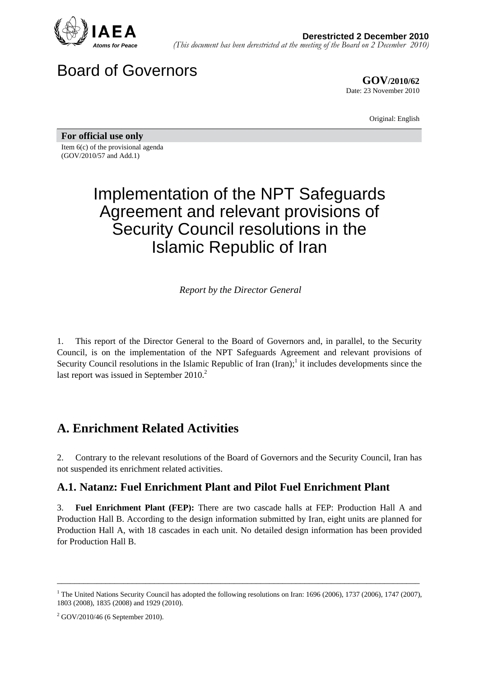

Board of Governors

**GOV/2010/62** Date: 23 November 2010

Original: English

**For official use only**  Item 6(c) of the provisional agenda (GOV/2010/57 and Add.1)

# Implementation of the NPT Safeguards Agreement and relevant provisions of Security Council resolutions in the Islamic Republic of Iran

*Report by the Director General* 

1. This report of the Director General to the Board of Governors and, in parallel, to the Security Council, is on the implementation of the NPT Safeguards Agreement and relevant provisions of Security Council resolutions in the Islamic Republic of Iran  $(Iran);$ <sup>1</sup> it includes developments since the last report was issued in September  $2010<sup>2</sup>$ .

## **A. Enrichment Related Activities**

2. Contrary to the relevant resolutions of the Board of Governors and the Security Council, Iran has not suspended its enrichment related activities.

#### **A.1. Natanz: Fuel Enrichment Plant and Pilot Fuel Enrichment Plant**

3. **Fuel Enrichment Plant (FEP):** There are two cascade halls at FEP: Production Hall A and Production Hall B. According to the design information submitted by Iran, eight units are planned for Production Hall A, with 18 cascades in each unit. No detailed design information has been provided for Production Hall B.

<sup>&</sup>lt;sup>1</sup> The United Nations Security Council has adopted the following resolutions on Iran: 1696 (2006), 1737 (2006), 1747 (2007), 1803 (2008), 1835 (2008) and 1929 (2010).

 $2$  GOV/2010/46 (6 September 2010).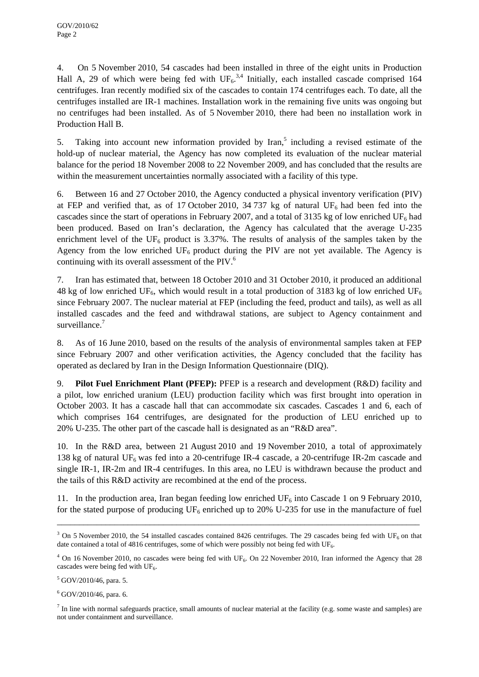4. On 5 November 2010, 54 cascades had been installed in three of the eight units in Production Hall A, 29 of which were being fed with  $UF_6^{3,4}$  Initially, each installed cascade comprised 164 centrifuges. Iran recently modified six of the cascades to contain 174 centrifuges each. To date, all the centrifuges installed are IR-1 machines. Installation work in the remaining five units was ongoing but no centrifuges had been installed. As of 5 November 2010, there had been no installation work in Production Hall B.

5. Taking into account new information provided by Iran,<sup>5</sup> including a revised estimate of the hold-up of nuclear material, the Agency has now completed its evaluation of the nuclear material balance for the period 18 November 2008 to 22 November 2009, and has concluded that the results are within the measurement uncertainties normally associated with a facility of this type.

6. Between 16 and 27 October 2010, the Agency conducted a physical inventory verification (PIV) at FEP and verified that, as of 17 October 2010, 34 737 kg of natural UF<sub>6</sub> had been fed into the cascades since the start of operations in February 2007, and a total of 3135 kg of low enriched UF<sub>6</sub> had been produced. Based on Iran's declaration, the Agency has calculated that the average U-235 enrichment level of the  $UF_6$  product is 3.37%. The results of analysis of the samples taken by the Agency from the low enriched  $UF_6$  product during the PIV are not yet available. The Agency is continuing with its overall assessment of the PIV.<sup>6</sup>

7. Iran has estimated that, between 18 October 2010 and 31 October 2010, it produced an additional 48 kg of low enriched UF<sub>6</sub>, which would result in a total production of 3183 kg of low enriched UF<sub>6</sub> since February 2007. The nuclear material at FEP (including the feed, product and tails), as well as all installed cascades and the feed and withdrawal stations, are subject to Agency containment and surveillance.<sup>7</sup>

8. As of 16 June 2010, based on the results of the analysis of environmental samples taken at FEP since February 2007 and other verification activities, the Agency concluded that the facility has operated as declared by Iran in the Design Information Questionnaire (DIQ).

9. **Pilot Fuel Enrichment Plant (PFEP):** PFEP is a research and development (R&D) facility and a pilot, low enriched uranium (LEU) production facility which was first brought into operation in October 2003. It has a cascade hall that can accommodate six cascades. Cascades 1 and 6, each of which comprises 164 centrifuges, are designated for the production of LEU enriched up to 20% U-235. The other part of the cascade hall is designated as an "R&D area".

10. In the R&D area, between 21 August 2010 and 19 November 2010, a total of approximately 138 kg of natural UF<sub>6</sub> was fed into a 20-centrifuge IR-4 cascade, a 20-centrifuge IR-2m cascade and single IR-1, IR-2m and IR-4 centrifuges. In this area, no LEU is withdrawn because the product and the tails of this R&D activity are recombined at the end of the process.

11. In the production area, Iran began feeding low enriched UF<sub>6</sub> into Cascade 1 on 9 February 2010, for the stated purpose of producing  $UF_6$  enriched up to 20% U-235 for use in the manufacture of fuel

<sup>&</sup>lt;sup>3</sup> On 5 November 2010, the 54 installed cascades contained 8426 centrifuges. The 29 cascades being fed with UF<sub>6</sub> on that date contained a total of 4816 centrifuges, some of which were possibly not being fed with UF<sub>6</sub>.

 $4$  On 16 November 2010, no cascades were being fed with UF<sub>6</sub>. On 22 November 2010, Iran informed the Agency that 28 cascades were being fed with  $UF<sub>6</sub>$ .

<sup>5</sup> GOV/2010/46, para. 5.

 $6$  GOV/2010/46, para. 6.

 $<sup>7</sup>$  In line with normal safeguards practice, small amounts of nuclear material at the facility (e.g. some waste and samples) are</sup> not under containment and surveillance.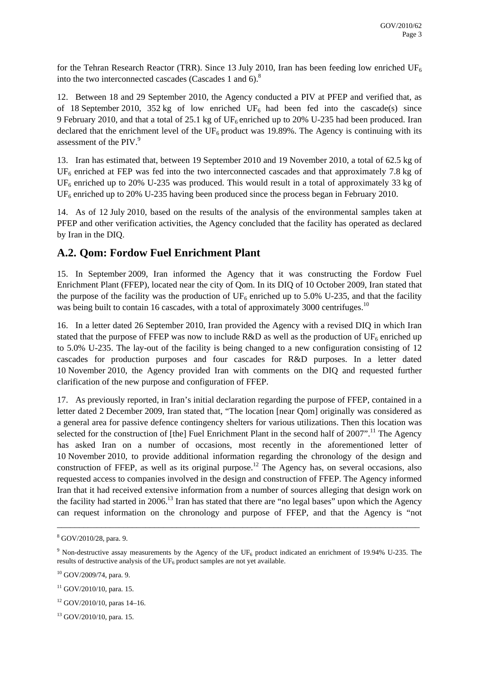for the Tehran Research Reactor (TRR). Since 13 July 2010, Iran has been feeding low enriched UF<sub>6</sub> into the two interconnected cascades (Cascades 1 and  $6$ ).<sup>8</sup>

12. Between 18 and 29 September 2010, the Agency conducted a PIV at PFEP and verified that, as of 18 September 2010, 352 kg of low enriched  $UF_6$  had been fed into the cascade(s) since 9 February 2010, and that a total of 25.1 kg of  $UF_6$  enriched up to 20% U-235 had been produced. Iran declared that the enrichment level of the UF<sub>6</sub> product was 19.89%. The Agency is continuing with its assessment of the PIV.<sup>9</sup>

13. Iran has estimated that, between 19 September 2010 and 19 November 2010, a total of 62.5 kg of  $UF<sub>6</sub>$  enriched at FEP was fed into the two interconnected cascades and that approximately 7.8 kg of UF<sub>6</sub> enriched up to 20% U-235 was produced. This would result in a total of approximately 33 kg of UF<sub>6</sub> enriched up to 20% U-235 having been produced since the process began in February 2010.

14. As of 12 July 2010, based on the results of the analysis of the environmental samples taken at PFEP and other verification activities, the Agency concluded that the facility has operated as declared by Iran in the DIQ.

#### **A.2. Qom: Fordow Fuel Enrichment Plant**

15. In September 2009, Iran informed the Agency that it was constructing the Fordow Fuel Enrichment Plant (FFEP), located near the city of Qom. In its DIQ of 10 October 2009, Iran stated that the purpose of the facility was the production of  $UF_6$  enriched up to 5.0% U-235, and that the facility was being built to contain 16 cascades, with a total of approximately 3000 centrifuges.<sup>10</sup>

16. In a letter dated 26 September 2010, Iran provided the Agency with a revised DIQ in which Iran stated that the purpose of FFEP was now to include  $R&D$  as well as the production of  $UF_6$  enriched up to 5.0% U-235. The lay-out of the facility is being changed to a new configuration consisting of 12 cascades for production purposes and four cascades for R&D purposes. In a letter dated 10 November 2010, the Agency provided Iran with comments on the DIQ and requested further clarification of the new purpose and configuration of FFEP.

17. As previously reported, in Iran's initial declaration regarding the purpose of FFEP, contained in a letter dated 2 December 2009, Iran stated that, "The location [near Qom] originally was considered as a general area for passive defence contingency shelters for various utilizations. Then this location was selected for the construction of [the] Fuel Enrichment Plant in the second half of  $2007$ ".<sup>11</sup> The Agency has asked Iran on a number of occasions, most recently in the aforementioned letter of 10 November 2010, to provide additional information regarding the chronology of the design and construction of FFEP, as well as its original purpose.<sup>12</sup> The Agency has, on several occasions, also requested access to companies involved in the design and construction of FFEP. The Agency informed Iran that it had received extensive information from a number of sources alleging that design work on the facility had started in 2006.<sup>13</sup> Iran has stated that there are "no legal bases" upon which the Agency can request information on the chronology and purpose of FFEP, and that the Agency is "not

<sup>8</sup> GOV/2010/28, para. 9.

<sup>&</sup>lt;sup>9</sup> Non-destructive assay measurements by the Agency of the UF<sub>6</sub> product indicated an enrichment of 19.94% U-235. The results of destructive analysis of the  $UF_6$  product samples are not yet available.

<sup>10</sup> GOV/2009/74, para. 9.

 $11$  GOV/2010/10, para. 15.

 $12$  GOV/2010/10, paras 14–16.

<sup>13</sup> GOV/2010/10, para. 15.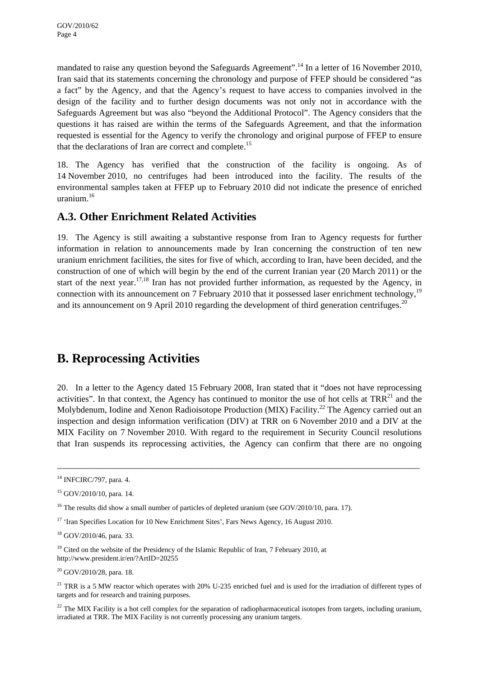mandated to raise any question beyond the Safeguards Agreement".<sup>14</sup> In a letter of 16 November 2010, Iran said that its statements concerning the chronology and purpose of FFEP should be considered "as a fact" by the Agency, and that the Agency's request to have access to companies involved in the design of the facility and to further design documents was not only not in accordance with the Safeguards Agreement but was also "beyond the Additional Protocol". The Agency considers that the questions it has raised are within the terms of the Safeguards Agreement, and that the information requested is essential for the Agency to verify the chronology and original purpose of FFEP to ensure that the declarations of Iran are correct and complete.<sup>15</sup>

18. The Agency has verified that the construction of the facility is ongoing. As of 14 November 2010, no centrifuges had been introduced into the facility. The results of the environmental samples taken at FFEP up to February 2010 did not indicate the presence of enriched uranium.16

#### **A.3. Other Enrichment Related Activities**

19. The Agency is still awaiting a substantive response from Iran to Agency requests for further information in relation to announcements made by Iran concerning the construction of ten new uranium enrichment facilities, the sites for five of which, according to Iran, have been decided, and the construction of one of which will begin by the end of the current Iranian year (20 March 2011) or the start of the next year.<sup>17,18</sup> Iran has not provided further information, as requested by the Agency, in connection with its announcement on 7 February 2010 that it possessed laser enrichment technology,<sup>19</sup> and its announcement on 9 April 2010 regarding the development of third generation centrifuges.<sup>20</sup>

## **B. Reprocessing Activities**

20. In a letter to the Agency dated 15 February 2008, Iran stated that it "does not have reprocessing activities". In that context, the Agency has continued to monitor the use of hot cells at  $TRR<sup>21</sup>$  and the Molybdenum, Iodine and Xenon Radioisotope Production (MIX) Facility.<sup>22</sup> The Agency carried out an inspection and design information verification (DIV) at TRR on 6 November 2010 and a DIV at the MIX Facility on 7 November 2010. With regard to the requirement in Security Council resolutions that Iran suspends its reprocessing activities, the Agency can confirm that there are no ongoing

\_\_\_\_\_\_\_\_\_\_\_\_\_\_\_\_\_\_\_\_\_\_\_\_\_\_\_\_\_\_\_\_\_\_\_\_\_\_\_\_\_\_\_\_\_\_\_\_\_\_\_\_\_\_\_\_\_\_\_\_\_\_\_\_\_\_\_\_\_\_\_\_\_\_\_\_\_\_\_\_\_\_

 $20$  GOV/2010/28, para. 18.

<sup>&</sup>lt;sup>14</sup> INFCIRC/797, para. 4.

<sup>15</sup> GOV/2010/10, para. 14.

<sup>&</sup>lt;sup>16</sup> The results did show a small number of particles of depleted uranium (see GOV/2010/10, para. 17).

<sup>&</sup>lt;sup>17</sup> 'Iran Specifies Location for 10 New Enrichment Sites', Fars News Agency, 16 August 2010.

<sup>18</sup> GOV/2010/46, para. 33.

 $19$  Cited on the website of the Presidency of the Islamic Republic of Iran, 7 February 2010, at http://www.president.ir/en/?ArtID=20255

<sup>&</sup>lt;sup>21</sup> TRR is a 5 MW reactor which operates with 20% U-235 enriched fuel and is used for the irradiation of different types of targets and for research and training purposes.

 $22$  The MIX Facility is a hot cell complex for the separation of radiopharmaceutical isotopes from targets, including uranium, irradiated at TRR. The MIX Facility is not currently processing any uranium targets.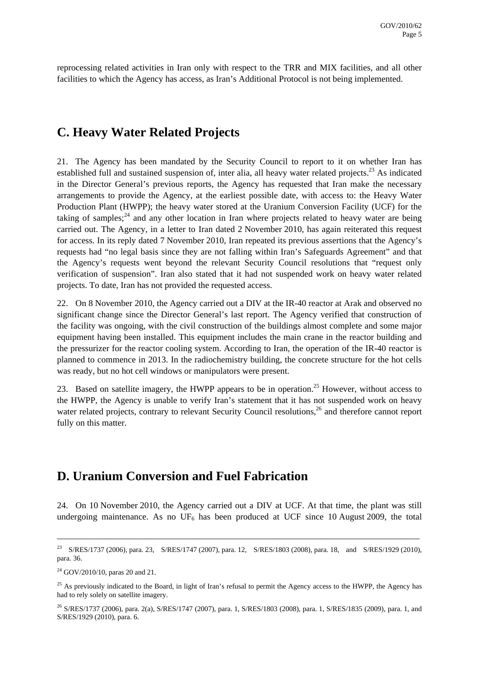reprocessing related activities in Iran only with respect to the TRR and MIX facilities, and all other facilities to which the Agency has access, as Iran's Additional Protocol is not being implemented.

## **C. Heavy Water Related Projects**

21. The Agency has been mandated by the Security Council to report to it on whether Iran has established full and sustained suspension of, inter alia, all heavy water related projects.<sup>23</sup> As indicated in the Director General's previous reports, the Agency has requested that Iran make the necessary arrangements to provide the Agency, at the earliest possible date, with access to: the Heavy Water Production Plant (HWPP); the heavy water stored at the Uranium Conversion Facility (UCF) for the taking of samples;<sup>24</sup> and any other location in Iran where projects related to heavy water are being carried out. The Agency, in a letter to Iran dated 2 November 2010, has again reiterated this request for access. In its reply dated 7 November 2010, Iran repeated its previous assertions that the Agency's requests had "no legal basis since they are not falling within Iran's Safeguards Agreement" and that the Agency's requests went beyond the relevant Security Council resolutions that "request only verification of suspension". Iran also stated that it had not suspended work on heavy water related projects. To date, Iran has not provided the requested access.

22. On 8 November 2010, the Agency carried out a DIV at the IR-40 reactor at Arak and observed no significant change since the Director General's last report. The Agency verified that construction of the facility was ongoing, with the civil construction of the buildings almost complete and some major equipment having been installed. This equipment includes the main crane in the reactor building and the pressurizer for the reactor cooling system. According to Iran, the operation of the IR-40 reactor is planned to commence in 2013. In the radiochemistry building, the concrete structure for the hot cells was ready, but no hot cell windows or manipulators were present.

23. Based on satellite imagery, the HWPP appears to be in operation.<sup>25</sup> However, without access to the HWPP, the Agency is unable to verify Iran's statement that it has not suspended work on heavy water related projects, contrary to relevant Security Council resolutions,<sup>26</sup> and therefore cannot report fully on this matter.

## **D. Uranium Conversion and Fuel Fabrication**

24. On 10 November 2010, the Agency carried out a DIV at UCF. At that time, the plant was still undergoing maintenance. As no UF<sub>6</sub> has been produced at UCF since 10 August 2009, the total

<sup>&</sup>lt;sup>23</sup> S/RES/1737 (2006), para. 23, S/RES/1747 (2007), para. 12, S/RES/1803 (2008), para. 18, and S/RES/1929 (2010), para. 36.

 $24$  GOV/2010/10, paras 20 and 21.

 $25$  As previously indicated to the Board, in light of Iran's refusal to permit the Agency access to the HWPP, the Agency has had to rely solely on satellite imagery.

<sup>26</sup> S/RES/1737 (2006), para. 2(a), S/RES/1747 (2007), para. 1, S/RES/1803 (2008), para. 1, S/RES/1835 (2009), para. 1, and S/RES/1929 (2010), para. 6.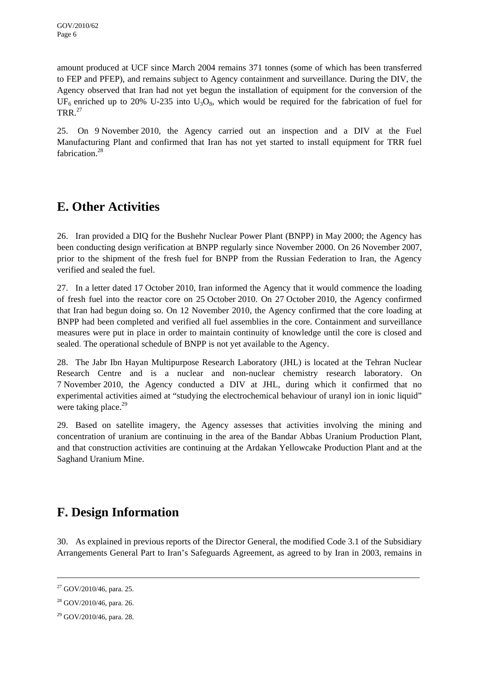amount produced at UCF since March 2004 remains 371 tonnes (some of which has been transferred to FEP and PFEP), and remains subject to Agency containment and surveillance. During the DIV, the Agency observed that Iran had not yet begun the installation of equipment for the conversion of the  $UF<sub>6</sub>$  enriched up to 20% U-235 into U<sub>3</sub>O<sub>8</sub>, which would be required for the fabrication of fuel for TRR $^{27}$ 

25. On 9 November 2010, the Agency carried out an inspection and a DIV at the Fuel Manufacturing Plant and confirmed that Iran has not yet started to install equipment for TRR fuel fabrication.<sup>28</sup>

# **E. Other Activities**

26. Iran provided a DIQ for the Bushehr Nuclear Power Plant (BNPP) in May 2000; the Agency has been conducting design verification at BNPP regularly since November 2000. On 26 November 2007, prior to the shipment of the fresh fuel for BNPP from the Russian Federation to Iran, the Agency verified and sealed the fuel.

27. In a letter dated 17 October 2010, Iran informed the Agency that it would commence the loading of fresh fuel into the reactor core on 25 October 2010. On 27 October 2010, the Agency confirmed that Iran had begun doing so. On 12 November 2010, the Agency confirmed that the core loading at BNPP had been completed and verified all fuel assemblies in the core. Containment and surveillance measures were put in place in order to maintain continuity of knowledge until the core is closed and sealed. The operational schedule of BNPP is not yet available to the Agency.

28. The Jabr Ibn Hayan Multipurpose Research Laboratory (JHL) is located at the Tehran Nuclear Research Centre and is a nuclear and non-nuclear chemistry research laboratory. On 7 November 2010, the Agency conducted a DIV at JHL, during which it confirmed that no experimental activities aimed at "studying the electrochemical behaviour of uranyl ion in ionic liquid" were taking place. $^{29}$ 

29. Based on satellite imagery, the Agency assesses that activities involving the mining and concentration of uranium are continuing in the area of the Bandar Abbas Uranium Production Plant, and that construction activities are continuing at the Ardakan Yellowcake Production Plant and at the Saghand Uranium Mine.

# **F. Design Information**

30. As explained in previous reports of the Director General, the modified Code 3.1 of the Subsidiary Arrangements General Part to Iran's Safeguards Agreement, as agreed to by Iran in 2003, remains in

 $27$  GOV/2010/46, para. 25.

 $28$  GOV/2010/46, para. 26.

 $29$  GOV/2010/46, para. 28.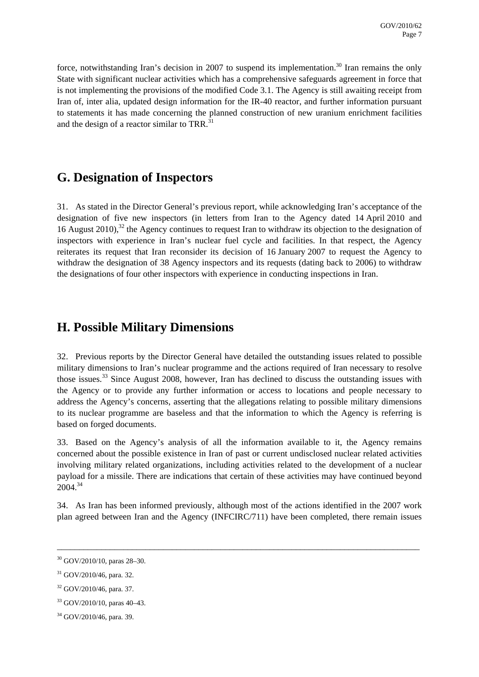force, notwithstanding Iran's decision in 2007 to suspend its implementation.<sup>30</sup> Iran remains the only State with significant nuclear activities which has a comprehensive safeguards agreement in force that is not implementing the provisions of the modified Code 3.1. The Agency is still awaiting receipt from Iran of, inter alia, updated design information for the IR-40 reactor, and further information pursuant to statements it has made concerning the planned construction of new uranium enrichment facilities and the design of a reactor similar to TRR.<sup>31</sup>

## **G. Designation of Inspectors**

31. As stated in the Director General's previous report, while acknowledging Iran's acceptance of the designation of five new inspectors (in letters from Iran to the Agency dated 14 April 2010 and 16 August 2010),<sup>32</sup> the Agency continues to request Iran to withdraw its objection to the designation of inspectors with experience in Iran's nuclear fuel cycle and facilities. In that respect, the Agency reiterates its request that Iran reconsider its decision of 16 January 2007 to request the Agency to withdraw the designation of 38 Agency inspectors and its requests (dating back to 2006) to withdraw the designations of four other inspectors with experience in conducting inspections in Iran.

## **H. Possible Military Dimensions**

32. Previous reports by the Director General have detailed the outstanding issues related to possible military dimensions to Iran's nuclear programme and the actions required of Iran necessary to resolve those issues.33 Since August 2008, however, Iran has declined to discuss the outstanding issues with the Agency or to provide any further information or access to locations and people necessary to address the Agency's concerns, asserting that the allegations relating to possible military dimensions to its nuclear programme are baseless and that the information to which the Agency is referring is based on forged documents.

33. Based on the Agency's analysis of all the information available to it, the Agency remains concerned about the possible existence in Iran of past or current undisclosed nuclear related activities involving military related organizations, including activities related to the development of a nuclear payload for a missile. There are indications that certain of these activities may have continued beyond 2004.<sup>34</sup>

34. As Iran has been informed previously, although most of the actions identified in the 2007 work plan agreed between Iran and the Agency (INFCIRC/711) have been completed, there remain issues

<sup>30</sup> GOV/2010/10, paras 28–30.

<sup>31</sup> GOV/2010/46, para. 32.

 $32$  GOV/2010/46, para. 37.

<sup>33</sup> GOV/2010/10, paras 40–43.

<sup>34</sup> GOV/2010/46, para. 39.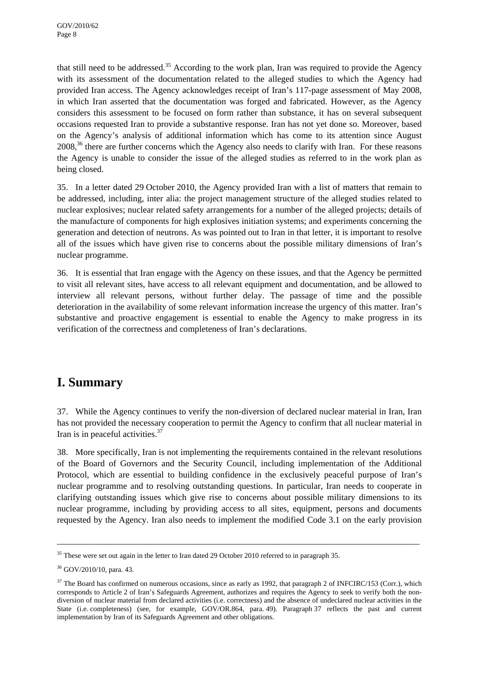that still need to be addressed.35 According to the work plan, Iran was required to provide the Agency with its assessment of the documentation related to the alleged studies to which the Agency had provided Iran access. The Agency acknowledges receipt of Iran's 117-page assessment of May 2008, in which Iran asserted that the documentation was forged and fabricated. However, as the Agency considers this assessment to be focused on form rather than substance, it has on several subsequent occasions requested Iran to provide a substantive response. Iran has not yet done so. Moreover, based on the Agency's analysis of additional information which has come to its attention since August  $2008<sup>36</sup>$  there are further concerns which the Agency also needs to clarify with Iran. For these reasons the Agency is unable to consider the issue of the alleged studies as referred to in the work plan as being closed.

35. In a letter dated 29 October 2010, the Agency provided Iran with a list of matters that remain to be addressed, including, inter alia: the project management structure of the alleged studies related to nuclear explosives; nuclear related safety arrangements for a number of the alleged projects; details of the manufacture of components for high explosives initiation systems; and experiments concerning the generation and detection of neutrons. As was pointed out to Iran in that letter, it is important to resolve all of the issues which have given rise to concerns about the possible military dimensions of Iran's nuclear programme.

36. It is essential that Iran engage with the Agency on these issues, and that the Agency be permitted to visit all relevant sites, have access to all relevant equipment and documentation, and be allowed to interview all relevant persons, without further delay. The passage of time and the possible deterioration in the availability of some relevant information increase the urgency of this matter. Iran's substantive and proactive engagement is essential to enable the Agency to make progress in its verification of the correctness and completeness of Iran's declarations.

## **I. Summary**

37. While the Agency continues to verify the non-diversion of declared nuclear material in Iran, Iran has not provided the necessary cooperation to permit the Agency to confirm that all nuclear material in Iran is in peaceful activities.37

38. More specifically, Iran is not implementing the requirements contained in the relevant resolutions of the Board of Governors and the Security Council, including implementation of the Additional Protocol, which are essential to building confidence in the exclusively peaceful purpose of Iran's nuclear programme and to resolving outstanding questions. In particular, Iran needs to cooperate in clarifying outstanding issues which give rise to concerns about possible military dimensions to its nuclear programme, including by providing access to all sites, equipment, persons and documents requested by the Agency. Iran also needs to implement the modified Code 3.1 on the early provision

<sup>&</sup>lt;sup>35</sup> These were set out again in the letter to Iran dated 29 October 2010 referred to in paragraph 35.

<sup>36</sup> GOV/2010/10, para. 43.

 $37$  The Board has confirmed on numerous occasions, since as early as 1992, that paragraph 2 of INFCIRC/153 (Corr.), which corresponds to Article 2 of Iran's Safeguards Agreement, authorizes and requires the Agency to seek to verify both the nondiversion of nuclear material from declared activities (i.e. correctness) and the absence of undeclared nuclear activities in the State (i.e. completeness) (see, for example, GOV/OR.864, para. 49). Paragraph 37 reflects the past and current implementation by Iran of its Safeguards Agreement and other obligations.